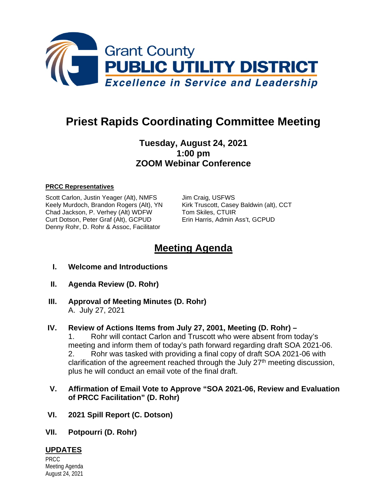

# **Priest Rapids Coordinating Committee Meeting**

## **Tuesday, August 24, 2021 1:00 pm ZOOM Webinar Conference**

#### **PRCC Representatives**

Scott Carlon, Justin Yeager (Alt), NMFS Jim Craig, USFWS Keely Murdoch, Brandon Rogers (Alt), YN Kirk Truscott, Casey Baldwin (alt), CCT Chad Jackson, P. Verhey (Alt) WDFW Tom Skiles, CTUIR<br>Curt Dotson, Peter Graf (Alt), GCPUD Erin Harris, Admin Ass't, GCPUD Curt Dotson, Peter Graf (Alt), GCPUD Denny Rohr, D. Rohr & Assoc, Facilitator

## **Meeting Agenda**

- **I. Welcome and Introductions**
- **II. Agenda Review (D. Rohr)**
- **III. Approval of Meeting Minutes (D. Rohr)** A. July 27, 2021

#### **IV. Review of Actions Items from July 27, 2001, Meeting (D. Rohr) –**

1. Rohr will contact Carlon and Truscott who were absent from today's meeting and inform them of today's path forward regarding draft SOA 2021-06. 2. Rohr was tasked with providing a final copy of draft SOA 2021-06 with clarification of the agreement reached through the July  $27<sup>th</sup>$  meeting discussion, plus he will conduct an email vote of the final draft.

#### **V. Affirmation of Email Vote to Approve "SOA 2021-06, Review and Evaluation of PRCC Facilitation" (D. Rohr)**

- **VI. 2021 Spill Report (C. Dotson)**
- **VII. Potpourri (D. Rohr)**

## **UPDATES**

PRCC Meeting Agenda August 24, 2021